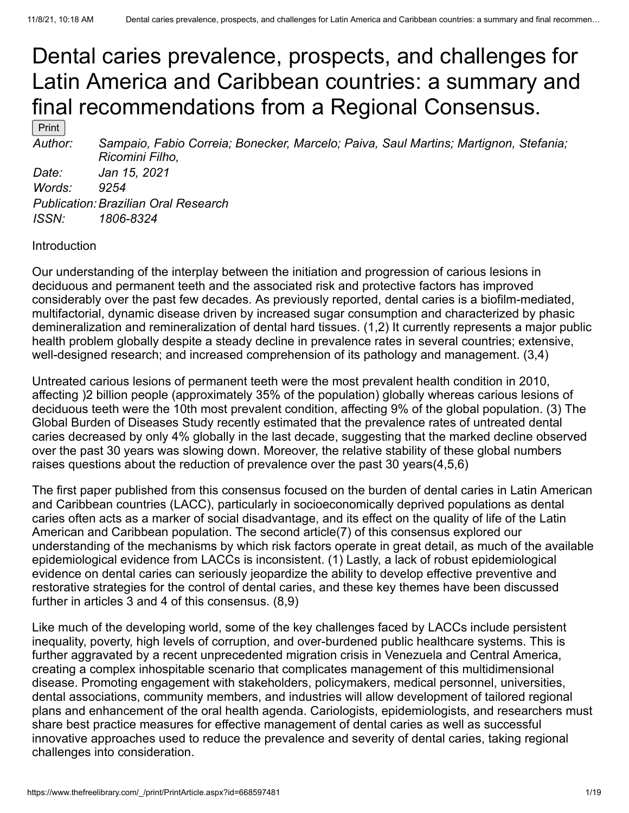# Dental caries prevalence, prospects, and challenges for Latin America and Caribbean countries: a summary and final recommendations from a Regional Consensus.

Print

*Author: Sampaio, Fabio Correia; Bonecker, Marcelo; Paiva, Saul Martins; Martignon, Stefania; Ricomini Filho, Date: Jan 15, 2021*

*Words: 9254 Publication:Brazilian Oral Research ISSN: 1806-8324*

#### **Introduction**

Our understanding of the interplay between the initiation and progression of carious lesions in deciduous and permanent teeth and the associated risk and protective factors has improved considerably over the past few decades. As previously reported, dental caries is a biofilm-mediated, multifactorial, dynamic disease driven by increased sugar consumption and characterized by phasic demineralization and remineralization of dental hard tissues. (1,2) It currently represents a major public health problem globally despite a steady decline in prevalence rates in several countries; extensive, well-designed research; and increased comprehension of its pathology and management. (3,4)

Untreated carious lesions of permanent teeth were the most prevalent health condition in 2010, affecting )2 billion people (approximately 35% of the population) globally whereas carious lesions of deciduous teeth were the 10th most prevalent condition, affecting 9% of the global population. (3) The Global Burden of Diseases Study recently estimated that the prevalence rates of untreated dental caries decreased by only 4% globally in the last decade, suggesting that the marked decline observed over the past 30 years was slowing down. Moreover, the relative stability of these global numbers raises questions about the reduction of prevalence over the past 30 years(4,5,6)

The first paper published from this consensus focused on the burden of dental caries in Latin American and Caribbean countries (LACC), particularly in socioeconomically deprived populations as dental caries often acts as a marker of social disadvantage, and its effect on the quality of life of the Latin American and Caribbean population. The second article(7) of this consensus explored our understanding of the mechanisms by which risk factors operate in great detail, as much of the available epidemiological evidence from LACCs is inconsistent. (1) Lastly, a lack of robust epidemiological evidence on dental caries can seriously jeopardize the ability to develop effective preventive and restorative strategies for the control of dental caries, and these key themes have been discussed further in articles 3 and 4 of this consensus. (8,9)

Like much of the developing world, some of the key challenges faced by LACCs include persistent inequality, poverty, high levels of corruption, and over-burdened public healthcare systems. This is further aggravated by a recent unprecedented migration crisis in Venezuela and Central America, creating a complex inhospitable scenario that complicates management of this multidimensional disease. Promoting engagement with stakeholders, policymakers, medical personnel, universities, dental associations, community members, and industries will allow development of tailored regional plans and enhancement of the oral health agenda. Cariologists, epidemiologists, and researchers must share best practice measures for effective management of dental caries as well as successful innovative approaches used to reduce the prevalence and severity of dental caries, taking regional challenges into consideration.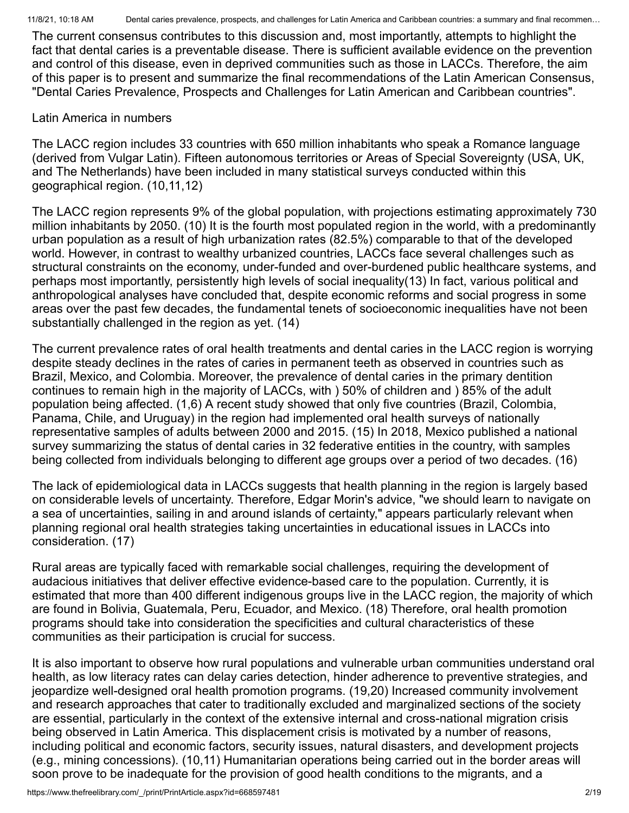The current consensus contributes to this discussion and, most importantly, attempts to highlight the fact that dental caries is a preventable disease. There is sufficient available evidence on the prevention and control of this disease, even in deprived communities such as those in LACCs. Therefore, the aim of this paper is to present and summarize the final recommendations of the Latin American Consensus, "Dental Caries Prevalence, Prospects and Challenges for Latin American and Caribbean countries".

# Latin America in numbers

The LACC region includes 33 countries with 650 million inhabitants who speak a Romance language (derived from Vulgar Latin). Fifteen autonomous territories or Areas of Special Sovereignty (USA, UK, and The Netherlands) have been included in many statistical surveys conducted within this geographical region. (10,11,12)

The LACC region represents 9% of the global population, with projections estimating approximately 730 million inhabitants by 2050. (10) It is the fourth most populated region in the world, with a predominantly urban population as a result of high urbanization rates (82.5%) comparable to that of the developed world. However, in contrast to wealthy urbanized countries, LACCs face several challenges such as structural constraints on the economy, under-funded and over-burdened public healthcare systems, and perhaps most importantly, persistently high levels of social inequality(13) In fact, various political and anthropological analyses have concluded that, despite economic reforms and social progress in some areas over the past few decades, the fundamental tenets of socioeconomic inequalities have not been substantially challenged in the region as yet. (14)

The current prevalence rates of oral health treatments and dental caries in the LACC region is worrying despite steady declines in the rates of caries in permanent teeth as observed in countries such as Brazil, Mexico, and Colombia. Moreover, the prevalence of dental caries in the primary dentition continues to remain high in the majority of LACCs, with ) 50% of children and ) 85% of the adult population being affected. (1,6) A recent study showed that only five countries (Brazil, Colombia, Panama, Chile, and Uruguay) in the region had implemented oral health surveys of nationally representative samples of adults between 2000 and 2015. (15) In 2018, Mexico published a national survey summarizing the status of dental caries in 32 federative entities in the country, with samples being collected from individuals belonging to different age groups over a period of two decades. (16)

The lack of epidemiological data in LACCs suggests that health planning in the region is largely based on considerable levels of uncertainty. Therefore, Edgar Morin's advice, "we should learn to navigate on a sea of uncertainties, sailing in and around islands of certainty," appears particularly relevant when planning regional oral health strategies taking uncertainties in educational issues in LACCs into consideration. (17)

Rural areas are typically faced with remarkable social challenges, requiring the development of audacious initiatives that deliver effective evidence-based care to the population. Currently, it is estimated that more than 400 different indigenous groups live in the LACC region, the majority of which are found in Bolivia, Guatemala, Peru, Ecuador, and Mexico. (18) Therefore, oral health promotion programs should take into consideration the specificities and cultural characteristics of these communities as their participation is crucial for success.

It is also important to observe how rural populations and vulnerable urban communities understand oral health, as low literacy rates can delay caries detection, hinder adherence to preventive strategies, and jeopardize well-designed oral health promotion programs. (19,20) Increased community involvement and research approaches that cater to traditionally excluded and marginalized sections of the society are essential, particularly in the context of the extensive internal and cross-national migration crisis being observed in Latin America. This displacement crisis is motivated by a number of reasons, including political and economic factors, security issues, natural disasters, and development projects (e.g., mining concessions). (10,11) Humanitarian operations being carried out in the border areas will soon prove to be inadequate for the provision of good health conditions to the migrants, and a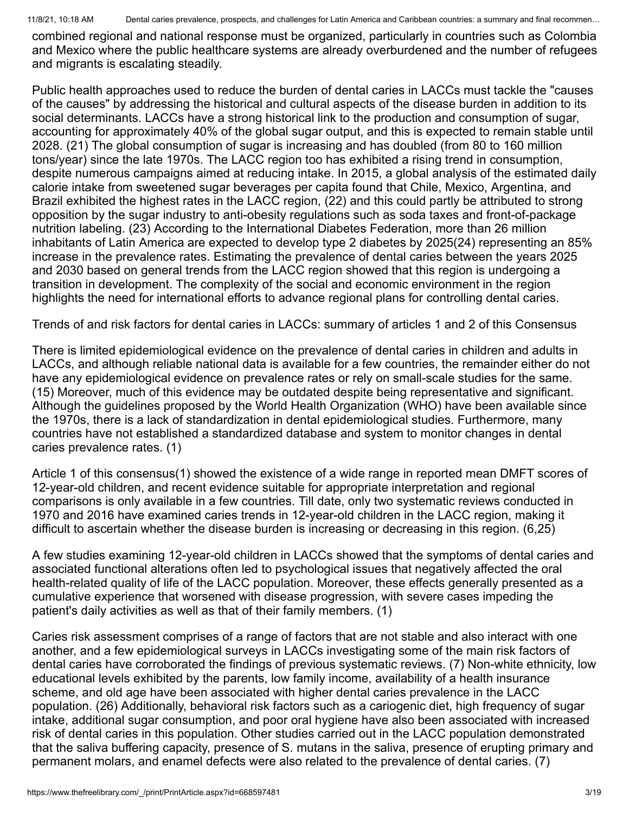combined regional and national response must be organized, particularly in countries such as Colombia and Mexico where the public healthcare systems are already overburdened and the number of refugees and migrants is escalating steadily.

Public health approaches used to reduce the burden of dental caries in LACCs must tackle the "causes of the causes" by addressing the historical and cultural aspects of the disease burden in addition to its social determinants. LACCs have a strong historical link to the production and consumption of sugar, accounting for approximately 40% of the global sugar output, and this is expected to remain stable until 2028. (21) The global consumption of sugar is increasing and has doubled (from 80 to 160 million tons/year) since the late 1970s. The LACC region too has exhibited a rising trend in consumption, despite numerous campaigns aimed at reducing intake. In 2015, a global analysis of the estimated daily calorie intake from sweetened sugar beverages per capita found that Chile, Mexico, Argentina, and Brazil exhibited the highest rates in the LACC region, (22) and this could partly be attributed to strong opposition by the sugar industry to anti-obesity regulations such as soda taxes and front-of-package nutrition labeling. (23) According to the International Diabetes Federation, more than 26 million inhabitants of Latin America are expected to develop type 2 diabetes by 2025(24) representing an 85% increase in the prevalence rates. Estimating the prevalence of dental caries between the years 2025 and 2030 based on general trends from the LACC region showed that this region is undergoing a transition in development. The complexity of the social and economic environment in the region highlights the need for international efforts to advance regional plans for controlling dental caries.

Trends of and risk factors for dental caries in LACCs: summary of articles 1 and 2 of this Consensus

There is limited epidemiological evidence on the prevalence of dental caries in children and adults in LACCs, and although reliable national data is available for a few countries, the remainder either do not have any epidemiological evidence on prevalence rates or rely on small-scale studies for the same. (15) Moreover, much of this evidence may be outdated despite being representative and significant. Although the guidelines proposed by the World Health Organization (WHO) have been available since the 1970s, there is a lack of standardization in dental epidemiological studies. Furthermore, many countries have not established a standardized database and system to monitor changes in dental caries prevalence rates. (1)

Article 1 of this consensus(1) showed the existence of a wide range in reported mean DMFT scores of 12-year-old children, and recent evidence suitable for appropriate interpretation and regional comparisons is only available in a few countries. Till date, only two systematic reviews conducted in 1970 and 2016 have examined caries trends in 12-year-old children in the LACC region, making it difficult to ascertain whether the disease burden is increasing or decreasing in this region. (6,25)

A few studies examining 12-year-old children in LACCs showed that the symptoms of dental caries and associated functional alterations often led to psychological issues that negatively affected the oral health-related quality of life of the LACC population. Moreover, these effects generally presented as a cumulative experience that worsened with disease progression, with severe cases impeding the patient's daily activities as well as that of their family members. (1)

Caries risk assessment comprises of a range of factors that are not stable and also interact with one another, and a few epidemiological surveys in LACCs investigating some of the main risk factors of dental caries have corroborated the findings of previous systematic reviews. (7) Non-white ethnicity, low educational levels exhibited by the parents, low family income, availability of a health insurance scheme, and old age have been associated with higher dental caries prevalence in the LACC population. (26) Additionally, behavioral risk factors such as a cariogenic diet, high frequency of sugar intake, additional sugar consumption, and poor oral hygiene have also been associated with increased risk of dental caries in this population. Other studies carried out in the LACC population demonstrated that the saliva buffering capacity, presence of S. mutans in the saliva, presence of erupting primary and permanent molars, and enamel defects were also related to the prevalence of dental caries. (7)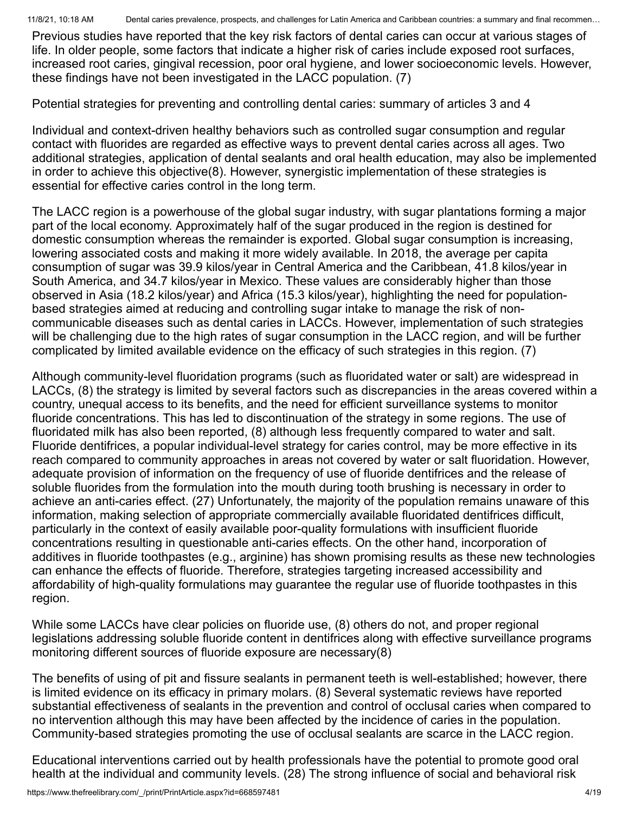Previous studies have reported that the key risk factors of dental caries can occur at various stages of life. In older people, some factors that indicate a higher risk of caries include exposed root surfaces, increased root caries, gingival recession, poor oral hygiene, and lower socioeconomic levels. However, these findings have not been investigated in the LACC population. (7)

Potential strategies for preventing and controlling dental caries: summary of articles 3 and 4

Individual and context-driven healthy behaviors such as controlled sugar consumption and regular contact with fluorides are regarded as effective ways to prevent dental caries across all ages. Two additional strategies, application of dental sealants and oral health education, may also be implemented in order to achieve this objective(8). However, synergistic implementation of these strategies is essential for effective caries control in the long term.

The LACC region is a powerhouse of the global sugar industry, with sugar plantations forming a major part of the local economy. Approximately half of the sugar produced in the region is destined for domestic consumption whereas the remainder is exported. Global sugar consumption is increasing, lowering associated costs and making it more widely available. In 2018, the average per capita consumption of sugar was 39.9 kilos/year in Central America and the Caribbean, 41.8 kilos/year in South America, and 34.7 kilos/year in Mexico. These values are considerably higher than those observed in Asia (18.2 kilos/year) and Africa (15.3 kilos/year), highlighting the need for populationbased strategies aimed at reducing and controlling sugar intake to manage the risk of noncommunicable diseases such as dental caries in LACCs. However, implementation of such strategies will be challenging due to the high rates of sugar consumption in the LACC region, and will be further complicated by limited available evidence on the efficacy of such strategies in this region. (7)

Although community-level fluoridation programs (such as fluoridated water or salt) are widespread in LACCs, (8) the strategy is limited by several factors such as discrepancies in the areas covered within a country, unequal access to its benefits, and the need for efficient surveillance systems to monitor fluoride concentrations. This has led to discontinuation of the strategy in some regions. The use of fluoridated milk has also been reported, (8) although less frequently compared to water and salt. Fluoride dentifrices, a popular individual-level strategy for caries control, may be more effective in its reach compared to community approaches in areas not covered by water or salt fluoridation. However, adequate provision of information on the frequency of use of fluoride dentifrices and the release of soluble fluorides from the formulation into the mouth during tooth brushing is necessary in order to achieve an anti-caries effect. (27) Unfortunately, the majority of the population remains unaware of this information, making selection of appropriate commercially available fluoridated dentifrices difficult, particularly in the context of easily available poor-quality formulations with insufficient fluoride concentrations resulting in questionable anti-caries effects. On the other hand, incorporation of additives in fluoride toothpastes (e.g., arginine) has shown promising results as these new technologies can enhance the effects of fluoride. Therefore, strategies targeting increased accessibility and affordability of high-quality formulations may guarantee the regular use of fluoride toothpastes in this region.

While some LACCs have clear policies on fluoride use, (8) others do not, and proper regional legislations addressing soluble fluoride content in dentifrices along with effective surveillance programs monitoring different sources of fluoride exposure are necessary(8)

The benefits of using of pit and fissure sealants in permanent teeth is well-established; however, there is limited evidence on its efficacy in primary molars. (8) Several systematic reviews have reported substantial effectiveness of sealants in the prevention and control of occlusal caries when compared to no intervention although this may have been affected by the incidence of caries in the population. Community-based strategies promoting the use of occlusal sealants are scarce in the LACC region.

Educational interventions carried out by health professionals have the potential to promote good oral health at the individual and community levels. (28) The strong influence of social and behavioral risk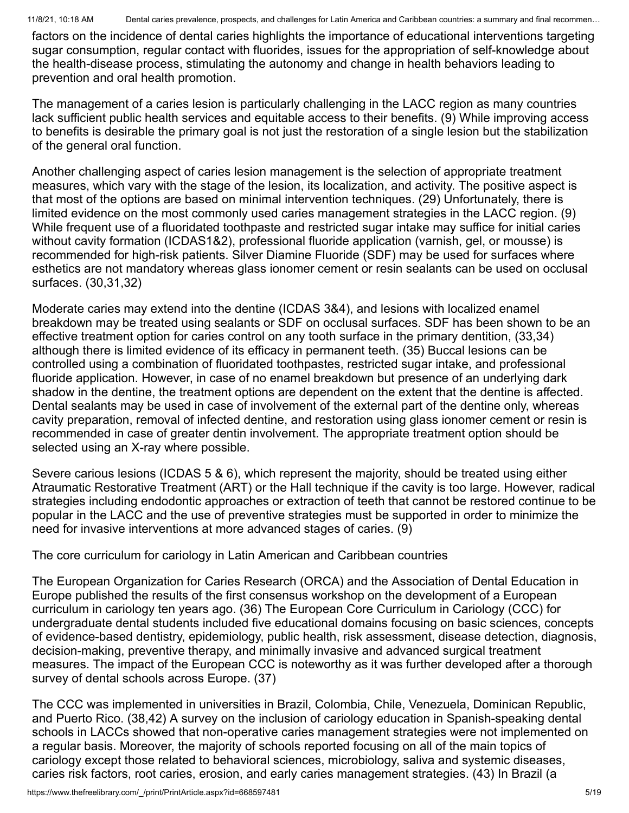factors on the incidence of dental caries highlights the importance of educational interventions targeting sugar consumption, regular contact with fluorides, issues for the appropriation of self-knowledge about the health-disease process, stimulating the autonomy and change in health behaviors leading to prevention and oral health promotion.

The management of a caries lesion is particularly challenging in the LACC region as many countries lack sufficient public health services and equitable access to their benefits. (9) While improving access to benefits is desirable the primary goal is not just the restoration of a single lesion but the stabilization of the general oral function.

Another challenging aspect of caries lesion management is the selection of appropriate treatment measures, which vary with the stage of the lesion, its localization, and activity. The positive aspect is that most of the options are based on minimal intervention techniques. (29) Unfortunately, there is limited evidence on the most commonly used caries management strategies in the LACC region. (9) While frequent use of a fluoridated toothpaste and restricted sugar intake may suffice for initial caries without cavity formation (ICDAS1&2), professional fluoride application (varnish, gel, or mousse) is recommended for high-risk patients. Silver Diamine Fluoride (SDF) may be used for surfaces where esthetics are not mandatory whereas glass ionomer cement or resin sealants can be used on occlusal surfaces. (30,31,32)

Moderate caries may extend into the dentine (ICDAS 3&4), and lesions with localized enamel breakdown may be treated using sealants or SDF on occlusal surfaces. SDF has been shown to be an effective treatment option for caries control on any tooth surface in the primary dentition, (33,34) although there is limited evidence of its efficacy in permanent teeth. (35) Buccal lesions can be controlled using a combination of fluoridated toothpastes, restricted sugar intake, and professional fluoride application. However, in case of no enamel breakdown but presence of an underlying dark shadow in the dentine, the treatment options are dependent on the extent that the dentine is affected. Dental sealants may be used in case of involvement of the external part of the dentine only, whereas cavity preparation, removal of infected dentine, and restoration using glass ionomer cement or resin is recommended in case of greater dentin involvement. The appropriate treatment option should be selected using an X-ray where possible.

Severe carious lesions (ICDAS 5 & 6), which represent the majority, should be treated using either Atraumatic Restorative Treatment (ART) or the Hall technique if the cavity is too large. However, radical strategies including endodontic approaches or extraction of teeth that cannot be restored continue to be popular in the LACC and the use of preventive strategies must be supported in order to minimize the need for invasive interventions at more advanced stages of caries. (9)

The core curriculum for cariology in Latin American and Caribbean countries

The European Organization for Caries Research (ORCA) and the Association of Dental Education in Europe published the results of the first consensus workshop on the development of a European curriculum in cariology ten years ago. (36) The European Core Curriculum in Cariology (CCC) for undergraduate dental students included five educational domains focusing on basic sciences, concepts of evidence-based dentistry, epidemiology, public health, risk assessment, disease detection, diagnosis, decision-making, preventive therapy, and minimally invasive and advanced surgical treatment measures. The impact of the European CCC is noteworthy as it was further developed after a thorough survey of dental schools across Europe. (37)

The CCC was implemented in universities in Brazil, Colombia, Chile, Venezuela, Dominican Republic, and Puerto Rico. (38,42) A survey on the inclusion of cariology education in Spanish-speaking dental schools in LACCs showed that non-operative caries management strategies were not implemented on a regular basis. Moreover, the majority of schools reported focusing on all of the main topics of cariology except those related to behavioral sciences, microbiology, saliva and systemic diseases, caries risk factors, root caries, erosion, and early caries management strategies. (43) In Brazil (a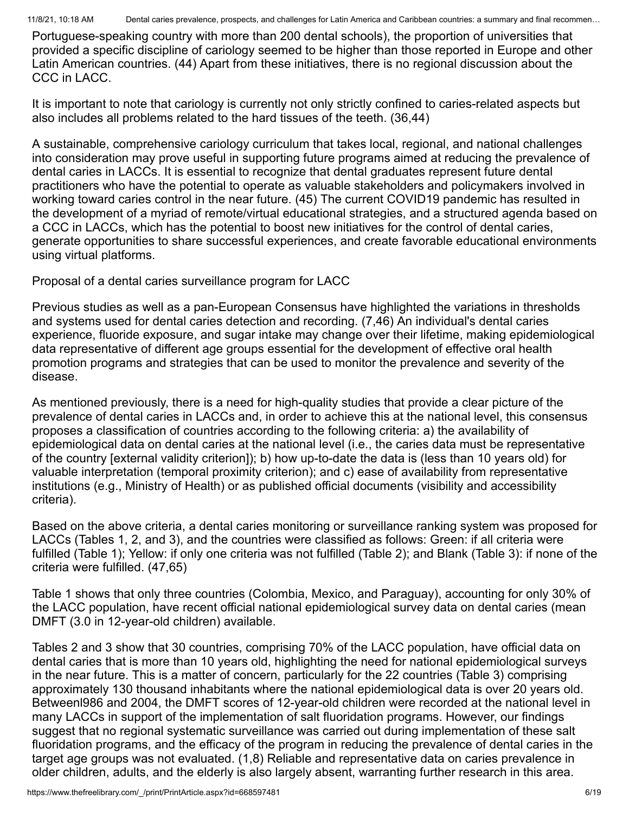Portuguese-speaking country with more than 200 dental schools), the proportion of universities that provided a specific discipline of cariology seemed to be higher than those reported in Europe and other Latin American countries. (44) Apart from these initiatives, there is no regional discussion about the CCC in LACC.

It is important to note that cariology is currently not only strictly confined to caries-related aspects but also includes all problems related to the hard tissues of the teeth. (36,44)

A sustainable, comprehensive cariology curriculum that takes local, regional, and national challenges into consideration may prove useful in supporting future programs aimed at reducing the prevalence of dental caries in LACCs. It is essential to recognize that dental graduates represent future dental practitioners who have the potential to operate as valuable stakeholders and policymakers involved in working toward caries control in the near future. (45) The current COVID19 pandemic has resulted in the development of a myriad of remote/virtual educational strategies, and a structured agenda based on a CCC in LACCs, which has the potential to boost new initiatives for the control of dental caries, generate opportunities to share successful experiences, and create favorable educational environments using virtual platforms.

Proposal of a dental caries surveillance program for LACC

Previous studies as well as a pan-European Consensus have highlighted the variations in thresholds and systems used for dental caries detection and recording. (7,46) An individual's dental caries experience, fluoride exposure, and sugar intake may change over their lifetime, making epidemiological data representative of different age groups essential for the development of effective oral health promotion programs and strategies that can be used to monitor the prevalence and severity of the disease.

As mentioned previously, there is a need for high-quality studies that provide a clear picture of the prevalence of dental caries in LACCs and, in order to achieve this at the national level, this consensus proposes a classification of countries according to the following criteria: a) the availability of epidemiological data on dental caries at the national level (i.e., the caries data must be representative of the country [external validity criterion]); b) how up-to-date the data is (less than 10 years old) for valuable interpretation (temporal proximity criterion); and c) ease of availability from representative institutions (e.g., Ministry of Health) or as published official documents (visibility and accessibility criteria).

Based on the above criteria, a dental caries monitoring or surveillance ranking system was proposed for LACCs (Tables 1, 2, and 3), and the countries were classified as follows: Green: if all criteria were fulfilled (Table 1); Yellow: if only one criteria was not fulfilled (Table 2); and Blank (Table 3): if none of the criteria were fulfilled. (47,65)

Table 1 shows that only three countries (Colombia, Mexico, and Paraguay), accounting for only 30% of the LACC population, have recent official national epidemiological survey data on dental caries (mean DMFT (3.0 in 12-year-old children) available.

Tables 2 and 3 show that 30 countries, comprising 70% of the LACC population, have official data on dental caries that is more than 10 years old, highlighting the need for national epidemiological surveys in the near future. This is a matter of concern, particularly for the 22 countries (Table 3) comprising approximately 130 thousand inhabitants where the national epidemiological data is over 20 years old. Betweenl986 and 2004, the DMFT scores of 12-year-old children were recorded at the national level in many LACCs in support of the implementation of salt fluoridation programs. However, our findings suggest that no regional systematic surveillance was carried out during implementation of these salt fluoridation programs, and the efficacy of the program in reducing the prevalence of dental caries in the target age groups was not evaluated. (1,8) Reliable and representative data on caries prevalence in older children, adults, and the elderly is also largely absent, warranting further research in this area.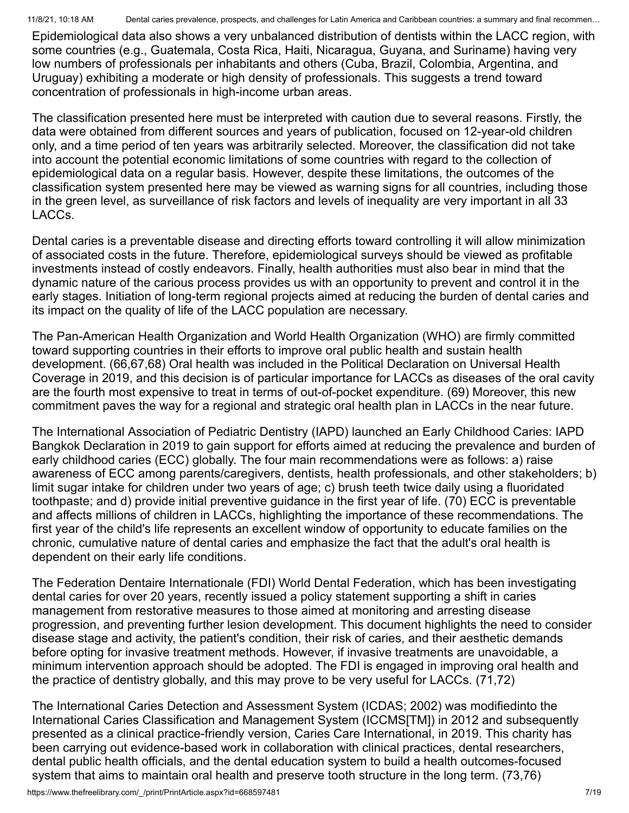Epidemiological data also shows a very unbalanced distribution of dentists within the LACC region, with some countries (e.g., Guatemala, Costa Rica, Haiti, Nicaragua, Guyana, and Suriname) having very low numbers of professionals per inhabitants and others (Cuba, Brazil, Colombia, Argentina, and Uruguay) exhibiting a moderate or high density of professionals. This suggests a trend toward concentration of professionals in high-income urban areas.

The classification presented here must be interpreted with caution due to several reasons. Firstly, the data were obtained from different sources and years of publication, focused on 12-year-old children only, and a time period of ten years was arbitrarily selected. Moreover, the classification did not take into account the potential economic limitations of some countries with regard to the collection of epidemiological data on a regular basis. However, despite these limitations, the outcomes of the classification system presented here may be viewed as warning signs for all countries, including those in the green level, as surveillance of risk factors and levels of inequality are very important in all 33 LACCs.

Dental caries is a preventable disease and directing efforts toward controlling it will allow minimization of associated costs in the future. Therefore, epidemiological surveys should be viewed as profitable investments instead of costly endeavors. Finally, health authorities must also bear in mind that the dynamic nature of the carious process provides us with an opportunity to prevent and control it in the early stages. Initiation of long-term regional projects aimed at reducing the burden of dental caries and its impact on the quality of life of the LACC population are necessary.

The Pan-American Health Organization and World Health Organization (WHO) are firmly committed toward supporting countries in their efforts to improve oral public health and sustain health development. (66,67,68) Oral health was included in the Political Declaration on Universal Health Coverage in 2019, and this decision is of particular importance for LACCs as diseases of the oral cavity are the fourth most expensive to treat in terms of out-of-pocket expenditure. (69) Moreover, this new commitment paves the way for a regional and strategic oral health plan in LACCs in the near future.

The International Association of Pediatric Dentistry (IAPD) launched an Early Childhood Caries: IAPD Bangkok Declaration in 2019 to gain support for efforts aimed at reducing the prevalence and burden of early childhood caries (ECC) globally. The four main recommendations were as follows: a) raise awareness of ECC among parents/caregivers, dentists, health professionals, and other stakeholders; b) limit sugar intake for children under two years of age; c) brush teeth twice daily using a fluoridated toothpaste; and d) provide initial preventive guidance in the first year of life. (70) ECC is preventable and affects millions of children in LACCs, highlighting the importance of these recommendations. The first year of the child's life represents an excellent window of opportunity to educate families on the chronic, cumulative nature of dental caries and emphasize the fact that the adult's oral health is dependent on their early life conditions.

The Federation Dentaire Internationale (FDI) World Dental Federation, which has been investigating dental caries for over 20 years, recently issued a policy statement supporting a shift in caries management from restorative measures to those aimed at monitoring and arresting disease progression, and preventing further lesion development. This document highlights the need to consider disease stage and activity, the patient's condition, their risk of caries, and their aesthetic demands before opting for invasive treatment methods. However, if invasive treatments are unavoidable, a minimum intervention approach should be adopted. The FDI is engaged in improving oral health and the practice of dentistry globally, and this may prove to be very useful for LACCs. (71,72)

The International Caries Detection and Assessment System (ICDAS; 2002) was modifiedinto the International Caries Classification and Management System (ICCMS[TM]) in 2012 and subsequently presented as a clinical practice-friendly version, Caries Care International, in 2019. This charity has been carrying out evidence-based work in collaboration with clinical practices, dental researchers, dental public health officials, and the dental education system to build a health outcomes-focused system that aims to maintain oral health and preserve tooth structure in the long term. (73,76)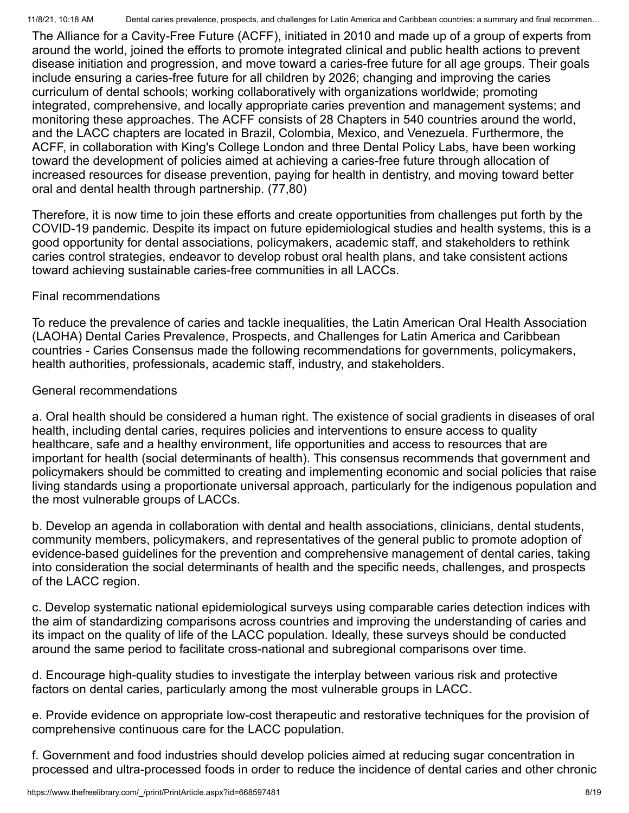The Alliance for a Cavity-Free Future (ACFF), initiated in 2010 and made up of a group of experts from around the world, joined the efforts to promote integrated clinical and public health actions to prevent disease initiation and progression, and move toward a caries-free future for all age groups. Their goals include ensuring a caries-free future for all children by 2026; changing and improving the caries curriculum of dental schools; working collaboratively with organizations worldwide; promoting integrated, comprehensive, and locally appropriate caries prevention and management systems; and monitoring these approaches. The ACFF consists of 28 Chapters in 540 countries around the world, and the LACC chapters are located in Brazil, Colombia, Mexico, and Venezuela. Furthermore, the ACFF, in collaboration with King's College London and three Dental Policy Labs, have been working toward the development of policies aimed at achieving a caries-free future through allocation of increased resources for disease prevention, paying for health in dentistry, and moving toward better oral and dental health through partnership. (77,80)

Therefore, it is now time to join these efforts and create opportunities from challenges put forth by the COVID-19 pandemic. Despite its impact on future epidemiological studies and health systems, this is a good opportunity for dental associations, policymakers, academic staff, and stakeholders to rethink caries control strategies, endeavor to develop robust oral health plans, and take consistent actions toward achieving sustainable caries-free communities in all LACCs.

# Final recommendations

To reduce the prevalence of caries and tackle inequalities, the Latin American Oral Health Association (LAOHA) Dental Caries Prevalence, Prospects, and Challenges for Latin America and Caribbean countries - Caries Consensus made the following recommendations for governments, policymakers, health authorities, professionals, academic staff, industry, and stakeholders.

# General recommendations

a. Oral health should be considered a human right. The existence of social gradients in diseases of oral health, including dental caries, requires policies and interventions to ensure access to quality healthcare, safe and a healthy environment, life opportunities and access to resources that are important for health (social determinants of health). This consensus recommends that government and policymakers should be committed to creating and implementing economic and social policies that raise living standards using a proportionate universal approach, particularly for the indigenous population and the most vulnerable groups of LACCs.

b. Develop an agenda in collaboration with dental and health associations, clinicians, dental students, community members, policymakers, and representatives of the general public to promote adoption of evidence-based guidelines for the prevention and comprehensive management of dental caries, taking into consideration the social determinants of health and the specific needs, challenges, and prospects of the LACC region.

c. Develop systematic national epidemiological surveys using comparable caries detection indices with the aim of standardizing comparisons across countries and improving the understanding of caries and its impact on the quality of life of the LACC population. Ideally, these surveys should be conducted around the same period to facilitate cross-national and subregional comparisons over time.

d. Encourage high-quality studies to investigate the interplay between various risk and protective factors on dental caries, particularly among the most vulnerable groups in LACC.

e. Provide evidence on appropriate low-cost therapeutic and restorative techniques for the provision of comprehensive continuous care for the LACC population.

f. Government and food industries should develop policies aimed at reducing sugar concentration in processed and ultra-processed foods in order to reduce the incidence of dental caries and other chronic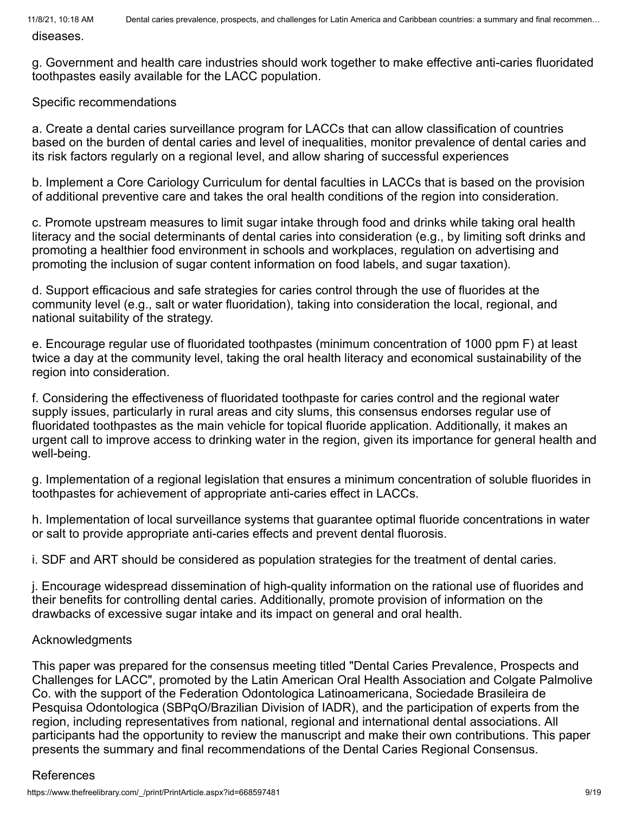diseases.

g. Government and health care industries should work together to make effective anti-caries fluoridated toothpastes easily available for the LACC population.

### Specific recommendations

a. Create a dental caries surveillance program for LACCs that can allow classification of countries based on the burden of dental caries and level of inequalities, monitor prevalence of dental caries and its risk factors regularly on a regional level, and allow sharing of successful experiences

b. Implement a Core Cariology Curriculum for dental faculties in LACCs that is based on the provision of additional preventive care and takes the oral health conditions of the region into consideration.

c. Promote upstream measures to limit sugar intake through food and drinks while taking oral health literacy and the social determinants of dental caries into consideration (e.g., by limiting soft drinks and promoting a healthier food environment in schools and workplaces, regulation on advertising and promoting the inclusion of sugar content information on food labels, and sugar taxation).

d. Support efficacious and safe strategies for caries control through the use of fluorides at the community level (e.g., salt or water fluoridation), taking into consideration the local, regional, and national suitability of the strategy.

e. Encourage regular use of fluoridated toothpastes (minimum concentration of 1000 ppm F) at least twice a day at the community level, taking the oral health literacy and economical sustainability of the region into consideration.

f. Considering the effectiveness of fluoridated toothpaste for caries control and the regional water supply issues, particularly in rural areas and city slums, this consensus endorses regular use of fluoridated toothpastes as the main vehicle for topical fluoride application. Additionally, it makes an urgent call to improve access to drinking water in the region, given its importance for general health and well-being.

g. Implementation of a regional legislation that ensures a minimum concentration of soluble fluorides in toothpastes for achievement of appropriate anti-caries effect in LACCs.

h. Implementation of local surveillance systems that guarantee optimal fluoride concentrations in water or salt to provide appropriate anti-caries effects and prevent dental fluorosis.

i. SDF and ART should be considered as population strategies for the treatment of dental caries.

j. Encourage widespread dissemination of high-quality information on the rational use of fluorides and their benefits for controlling dental caries. Additionally, promote provision of information on the drawbacks of excessive sugar intake and its impact on general and oral health.

# Acknowledgments

This paper was prepared for the consensus meeting titled "Dental Caries Prevalence, Prospects and Challenges for LACC", promoted by the Latin American Oral Health Association and Colgate Palmolive Co. with the support of the Federation Odontologica Latinoamericana, Sociedade Brasileira de Pesquisa Odontologica (SBPqO/Brazilian Division of IADR), and the participation of experts from the region, including representatives from national, regional and international dental associations. All participants had the opportunity to review the manuscript and make their own contributions. This paper presents the summary and final recommendations of the Dental Caries Regional Consensus.

# References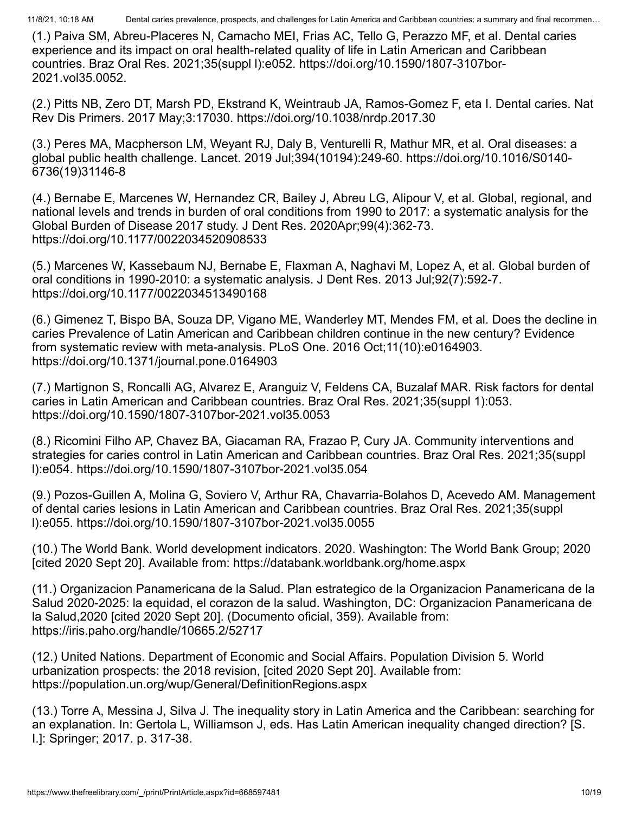(1.) Paiva SM, Abreu-Placeres N, Camacho MEI, Frias AC, Tello G, Perazzo MF, et al. Dental caries experience and its impact on oral health-related quality of life in Latin American and Caribbean countries. Braz Oral Res. 2021;35(suppl l):e052. https://doi.org/10.1590/1807-3107bor-2021.vol35.0052.

(2.) Pitts NB, Zero DT, Marsh PD, Ekstrand K, Weintraub JA, Ramos-Gomez F, eta I. Dental caries. Nat Rev Dis Primers. 2017 May;3:17030. https://doi.org/10.1038/nrdp.2017.30

(3.) Peres MA, Macpherson LM, Weyant RJ, Daly B, Venturelli R, Mathur MR, et al. Oral diseases: a global public health challenge. Lancet. 2019 Jul;394(10194):249-60. https://doi.org/10.1016/S0140- 6736(19)31146-8

(4.) Bernabe E, Marcenes W, Hernandez CR, Bailey J, Abreu LG, Alipour V, et al. Global, regional, and national levels and trends in burden of oral conditions from 1990 to 2017: a systematic analysis for the Global Burden of Disease 2017 study. J Dent Res. 2020Apr;99(4):362-73. https://doi.org/10.1177/0022034520908533

(5.) Marcenes W, Kassebaum NJ, Bernabe E, Flaxman A, Naghavi M, Lopez A, et al. Global burden of oral conditions in 1990-2010: a systematic analysis. J Dent Res. 2013 Jul;92(7):592-7. https://doi.org/10.1177/0022034513490168

(6.) Gimenez T, Bispo BA, Souza DP, Vigano ME, Wanderley MT, Mendes FM, et al. Does the decline in caries Prevalence of Latin American and Caribbean children continue in the new century? Evidence from systematic review with meta-analysis. PLoS One. 2016 Oct;11(10):e0164903. https://doi.org/10.1371/journal.pone.0164903

(7.) Martignon S, Roncalli AG, Alvarez E, Aranguiz V, Feldens CA, Buzalaf MAR. Risk factors for dental caries in Latin American and Caribbean countries. Braz Oral Res. 2021;35(suppl 1):053. https://doi.org/10.1590/1807-3107bor-2021.vol35.0053

(8.) Ricomini Filho AP, Chavez BA, Giacaman RA, Frazao P, Cury JA. Community interventions and strategies for caries control in Latin American and Caribbean countries. Braz Oral Res. 2021;35(suppl l):e054. https://doi.org/10.1590/1807-3107bor-2021.vol35.054

(9.) Pozos-Guillen A, Molina G, Soviero V, Arthur RA, Chavarria-Bolahos D, Acevedo AM. Management of dental caries lesions in Latin American and Caribbean countries. Braz Oral Res. 2021;35(suppl l):e055. https://doi.org/10.1590/1807-3107bor-2021.vol35.0055

(10.) The World Bank. World development indicators. 2020. Washington: The World Bank Group; 2020 [cited 2020 Sept 20]. Available from: https://databank.worldbank.org/home.aspx

(11.) Organizacion Panamericana de la Salud. Plan estrategico de la Organizacion Panamericana de la Salud 2020-2025: la equidad, el corazon de la salud. Washington, DC: Organizacion Panamericana de la Salud,2020 [cited 2020 Sept 20]. (Documento oficial, 359). Available from: https://iris.paho.org/handle/10665.2/52717

(12.) United Nations. Department of Economic and Social Affairs. Population Division 5. World urbanization prospects: the 2018 revision, [cited 2020 Sept 20]. Available from: https://population.un.org/wup/General/DefinitionRegions.aspx

(13.) Torre A, Messina J, Silva J. The inequality story in Latin America and the Caribbean: searching for an explanation. In: Gertola L, Williamson J, eds. Has Latin American inequality changed direction? [S. I.]: Springer; 2017. p. 317-38.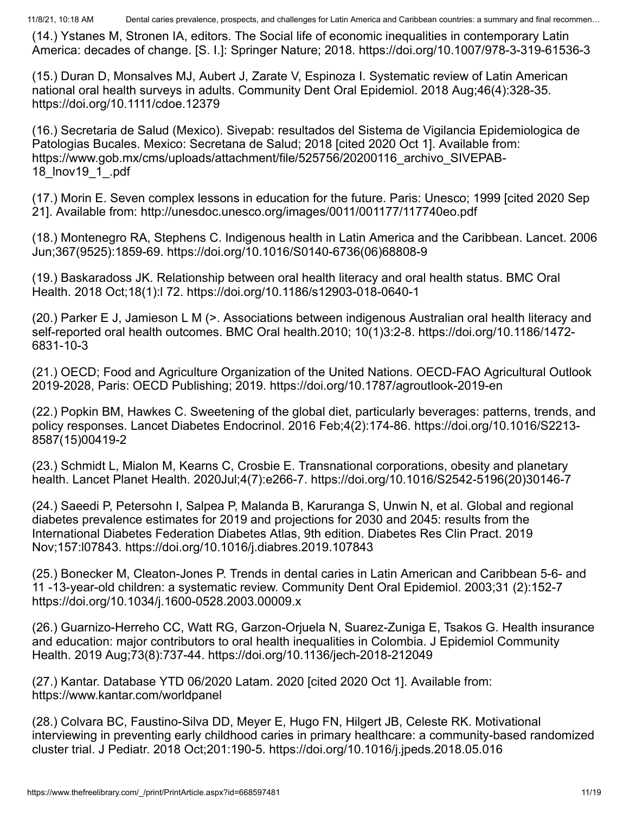(14.) Ystanes M, Stronen IA, editors. The Social life of economic inequalities in contemporary Latin America: decades of change. [S. I.]: Springer Nature; 2018. https://doi.org/10.1007/978-3-319-61536-3

(15.) Duran D, Monsalves MJ, Aubert J, Zarate V, Espinoza I. Systematic review of Latin American national oral health surveys in adults. Community Dent Oral Epidemiol. 2018 Aug;46(4):328-35. https://doi.org/10.1111/cdoe.12379

(16.) Secretaria de Salud (Mexico). Sivepab: resultados del Sistema de Vigilancia Epidemiologica de Patologias Bucales. Mexico: Secretana de Salud; 2018 [cited 2020 Oct 1]. Available from: https://www.gob.mx/cms/uploads/attachment/file/525756/20200116 archivo SIVEPAB-18\_lnov19\_1\_.pdf

(17.) Morin E. Seven complex lessons in education for the future. Paris: Unesco; 1999 [cited 2020 Sep 21]. Available from: http://unesdoc.unesco.org/images/0011/001177/117740eo.pdf

(18.) Montenegro RA, Stephens C. Indigenous health in Latin America and the Caribbean. Lancet. 2006 Jun;367(9525):1859-69. https://doi.org/10.1016/S0140-6736(06)68808-9

(19.) Baskaradoss JK. Relationship between oral health literacy and oral health status. BMC Oral Health. 2018 Oct;18(1):l 72. https://doi.org/10.1186/s12903-018-0640-1

(20.) Parker E J, Jamieson L M (>. Associations between indigenous Australian oral health literacy and self-reported oral health outcomes. BMC Oral health.2010; 10(1)3:2-8. https://doi.org/10.1186/1472- 6831-10-3

(21.) OECD; Food and Agriculture Organization of the United Nations. OECD-FAO Agricultural Outlook 2019-2028, Paris: OECD Publishing; 2019. https://doi.org/10.1787/agroutlook-2019-en

(22.) Popkin BM, Hawkes C. Sweetening of the global diet, particularly beverages: patterns, trends, and policy responses. Lancet Diabetes Endocrinol. 2016 Feb;4(2):174-86. https://doi.org/10.1016/S2213- 8587(15)00419-2

(23.) Schmidt L, Mialon M, Kearns C, Crosbie E. Transnational corporations, obesity and planetary health. Lancet Planet Health. 2020Jul;4(7):e266-7. https://doi.org/10.1016/S2542-5196(20)30146-7

(24.) Saeedi P, Petersohn I, Salpea P, Malanda B, Karuranga S, Unwin N, et al. Global and regional diabetes prevalence estimates for 2019 and projections for 2030 and 2045: results from the International Diabetes Federation Diabetes Atlas, 9th edition. Diabetes Res Clin Pract. 2019 Nov;157:l07843. https://doi.org/10.1016/j.diabres.2019.107843

(25.) Bonecker M, Cleaton-Jones P. Trends in dental caries in Latin American and Caribbean 5-6- and 11 -13-year-old children: a systematic review. Community Dent Oral Epidemiol. 2003;31 (2):152-7 https://doi.org/10.1034/j.1600-0528.2003.00009.x

(26.) Guarnizo-Herreho CC, Watt RG, Garzon-Orjuela N, Suarez-Zuniga E, Tsakos G. Health insurance and education: major contributors to oral health inequalities in Colombia. J Epidemiol Community Health. 2019 Aug;73(8):737-44. https://doi.org/10.1136/jech-2018-212049

(27.) Kantar. Database YTD 06/2020 Latam. 2020 [cited 2020 Oct 1]. Available from: https://www.kantar.com/worldpanel

(28.) Colvara BC, Faustino-Silva DD, Meyer E, Hugo FN, Hilgert JB, Celeste RK. Motivational interviewing in preventing early childhood caries in primary healthcare: a community-based randomized cluster trial. J Pediatr. 2018 Oct;201:190-5. https://doi.org/10.1016/j.jpeds.2018.05.016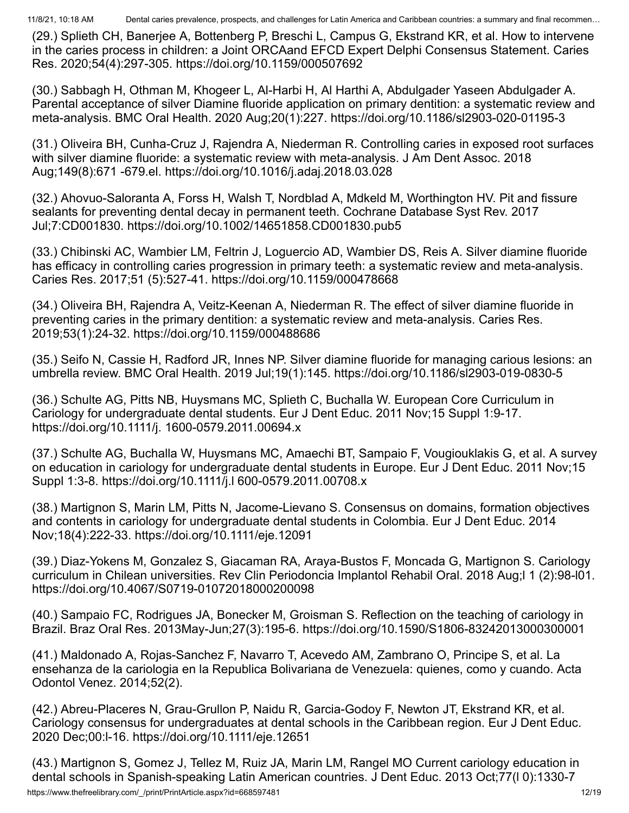(29.) Splieth CH, Banerjee A, Bottenberg P, Breschi L, Campus G, Ekstrand KR, et al. How to intervene in the caries process in children: a Joint ORCAand EFCD Expert Delphi Consensus Statement. Caries Res. 2020;54(4):297-305. https://doi.org/10.1159/000507692

(30.) Sabbagh H, Othman M, Khogeer L, Al-Harbi H, Al Harthi A, Abdulgader Yaseen Abdulgader A. Parental acceptance of silver Diamine fluoride application on primary dentition: a systematic review and meta-analysis. BMC Oral Health. 2020 Aug;20(1):227. https://doi.org/10.1186/sl2903-020-01195-3

(31.) Oliveira BH, Cunha-Cruz J, Rajendra A, Niederman R. Controlling caries in exposed root surfaces with silver diamine fluoride: a systematic review with meta-analysis. J Am Dent Assoc. 2018 Aug;149(8):671 -679.el. https://doi.org/10.1016/j.adaj.2018.03.028

(32.) Ahovuo-Saloranta A, Forss H, Walsh T, Nordblad A, Mdkeld M, Worthington HV. Pit and fissure sealants for preventing dental decay in permanent teeth. Cochrane Database Syst Rev. 2017 Jul;7:CD001830. https://doi.org/10.1002/14651858.CD001830.pub5

(33.) Chibinski AC, Wambier LM, Feltrin J, Loguercio AD, Wambier DS, Reis A. Silver diamine fluoride has efficacy in controlling caries progression in primary teeth: a systematic review and meta-analysis. Caries Res. 2017;51 (5):527-41. https://doi.org/10.1159/000478668

(34.) Oliveira BH, Rajendra A, Veitz-Keenan A, Niederman R. The effect of silver diamine fluoride in preventing caries in the primary dentition: a systematic review and meta-analysis. Caries Res. 2019;53(1):24-32. https://doi.org/10.1159/000488686

(35.) Seifo N, Cassie H, Radford JR, Innes NP. Silver diamine fluoride for managing carious lesions: an umbrella review. BMC Oral Health. 2019 Jul;19(1):145. https://doi.org/10.1186/sl2903-019-0830-5

(36.) Schulte AG, Pitts NB, Huysmans MC, Splieth C, Buchalla W. European Core Curriculum in Cariology for undergraduate dental students. Eur J Dent Educ. 2011 Nov;15 Suppl 1:9-17. https://doi.org/10.1111/j. 1600-0579.2011.00694.x

(37.) Schulte AG, Buchalla W, Huysmans MC, Amaechi BT, Sampaio F, Vougiouklakis G, et al. A survey on education in cariology for undergraduate dental students in Europe. Eur J Dent Educ. 2011 Nov;15 Suppl 1:3-8. https://doi.org/10.1111/j.l 600-0579.2011.00708.x

(38.) Martignon S, Marin LM, Pitts N, Jacome-Lievano S. Consensus on domains, formation objectives and contents in cariology for undergraduate dental students in Colombia. Eur J Dent Educ. 2014 Nov;18(4):222-33. https://doi.org/10.1111/eje.12091

(39.) Diaz-Yokens M, Gonzalez S, Giacaman RA, Araya-Bustos F, Moncada G, Martignon S. Cariology curriculum in Chilean universities. Rev Clin Periodoncia Implantol Rehabil Oral. 2018 Aug;l 1 (2):98-l01. https://doi.org/10.4067/S0719-01072018000200098

(40.) Sampaio FC, Rodrigues JA, Bonecker M, Groisman S. Reflection on the teaching of cariology in Brazil. Braz Oral Res. 2013May-Jun;27(3):195-6. https://doi.org/10.1590/S1806-83242013000300001

(41.) Maldonado A, Rojas-Sanchez F, Navarro T, Acevedo AM, Zambrano O, Principe S, et al. La ensehanza de la cariologia en la Republica Bolivariana de Venezuela: quienes, como y cuando. Acta Odontol Venez. 2014;52(2).

(42.) Abreu-Placeres N, Grau-Grullon P, Naidu R, Garcia-Godoy F, Newton JT, Ekstrand KR, et al. Cariology consensus for undergraduates at dental schools in the Caribbean region. Eur J Dent Educ. 2020 Dec;00:l-16. https://doi.org/10.1111/eje.12651

https://www.thefreelibrary.com/ /print/PrintArticle.aspx?id=668597481 12/19 (43.) Martignon S, Gomez J, Tellez M, Ruiz JA, Marin LM, Rangel MO Current cariology education in dental schools in Spanish-speaking Latin American countries. J Dent Educ. 2013 Oct;77(l 0):1330-7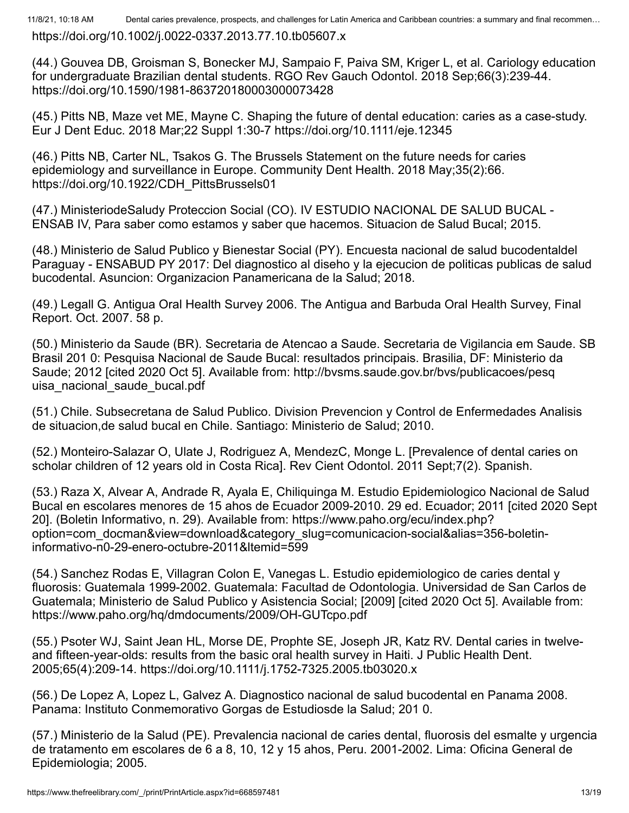https://doi.org/10.1002/j.0022-0337.2013.77.10.tb05607.x

(44.) Gouvea DB, Groisman S, Bonecker MJ, Sampaio F, Paiva SM, Kriger L, et al. Cariology education for undergraduate Brazilian dental students. RGO Rev Gauch Odontol. 2018 Sep;66(3):239-44. https://doi.org/10.1590/1981-863720180003000073428

(45.) Pitts NB, Maze vet ME, Mayne C. Shaping the future of dental education: caries as a case-study. Eur J Dent Educ. 2018 Mar;22 Suppl 1:30-7 https://doi.org/10.1111/eje.12345

(46.) Pitts NB, Carter NL, Tsakos G. The Brussels Statement on the future needs for caries epidemiology and surveillance in Europe. Community Dent Health. 2018 May;35(2):66. https://doi.org/10.1922/CDH\_PittsBrussels01

(47.) MinisteriodeSaludy Proteccion Social (CO). IV ESTUDIO NACIONAL DE SALUD BUCAL - ENSAB IV, Para saber como estamos y saber que hacemos. Situacion de Salud Bucal; 2015.

(48.) Ministerio de Salud Publico y Bienestar Social (PY). Encuesta nacional de salud bucodentaldel Paraguay - ENSABUD PY 2017: Del diagnostico al diseho y la ejecucion de politicas publicas de salud bucodental. Asuncion: Organizacion Panamericana de la Salud; 2018.

(49.) Legall G. Antigua Oral Health Survey 2006. The Antigua and Barbuda Oral Health Survey, Final Report. Oct. 2007. 58 p.

(50.) Ministerio da Saude (BR). Secretaria de Atencao a Saude. Secretaria de Vigilancia em Saude. SB Brasil 201 0: Pesquisa Nacional de Saude Bucal: resultados principais. Brasilia, DF: Ministerio da Saude; 2012 [cited 2020 Oct 5]. Available from: http://bvsms.saude.gov.br/bvs/publicacoes/pesq uisa\_nacional\_saude\_bucal.pdf

(51.) Chile. Subsecretana de Salud Publico. Division Prevencion y Control de Enfermedades Analisis de situacion,de salud bucal en Chile. Santiago: Ministerio de Salud; 2010.

(52.) Monteiro-Salazar O, Ulate J, Rodriguez A, MendezC, Monge L. [Prevalence of dental caries on scholar children of 12 years old in Costa Rica]. Rev Cient Odontol. 2011 Sept;7(2). Spanish.

(53.) Raza X, Alvear A, Andrade R, Ayala E, Chiliquinga M. Estudio Epidemiologico Nacional de Salud Bucal en escolares menores de 15 ahos de Ecuador 2009-2010. 29 ed. Ecuador; 2011 [cited 2020 Sept 20]. (Boletin Informativo, n. 29). Available from: https://www.paho.org/ecu/index.php? option=com\_docman&view=download&category\_slug=comunicacion-social&alias=356-boletininformativo-n0-29-enero-octubre-2011&Itemid=599

(54.) Sanchez Rodas E, Villagran Colon E, Vanegas L. Estudio epidemiologico de caries dental y fluorosis: Guatemala 1999-2002. Guatemala: Facultad de Odontologia. Universidad de San Carlos de Guatemala; Ministerio de Salud Publico y Asistencia Social; [2009] [cited 2020 Oct 5]. Available from: https://www.paho.org/hq/dmdocuments/2009/OH-GUTcpo.pdf

(55.) Psoter WJ, Saint Jean HL, Morse DE, Prophte SE, Joseph JR, Katz RV. Dental caries in twelveand fifteen-year-olds: results from the basic oral health survey in Haiti. J Public Health Dent. 2005;65(4):209-14. https://doi.org/10.1111/j.1752-7325.2005.tb03020.x

(56.) De Lopez A, Lopez L, Galvez A. Diagnostico nacional de salud bucodental en Panama 2008. Panama: Instituto Conmemorativo Gorgas de Estudiosde la Salud; 201 0.

(57.) Ministerio de la Salud (PE). Prevalencia nacional de caries dental, fluorosis del esmalte y urgencia de tratamento em escolares de 6 a 8, 10, 12 y 15 ahos, Peru. 2001-2002. Lima: Oficina General de Epidemiologia; 2005.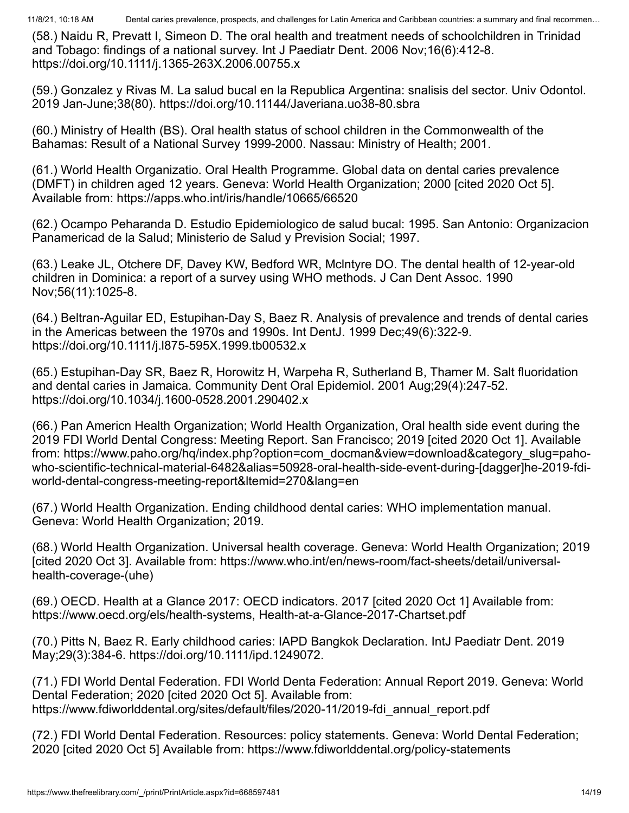(58.) Naidu R, Prevatt I, Simeon D. The oral health and treatment needs of schoolchildren in Trinidad and Tobago: findings of a national survey. Int J Paediatr Dent. 2006 Nov;16(6):412-8. https://doi.org/10.1111/j.1365-263X.2006.00755.x

(59.) Gonzalez y Rivas M. La salud bucal en la Republica Argentina: snalisis del sector. Univ Odontol. 2019 Jan-June;38(80). https://doi.org/10.11144/Javeriana.uo38-80.sbra

(60.) Ministry of Health (BS). Oral health status of school children in the Commonwealth of the Bahamas: Result of a National Survey 1999-2000. Nassau: Ministry of Health; 2001.

(61.) World Health Organizatio. Oral Health Programme. Global data on dental caries prevalence (DMFT) in children aged 12 years. Geneva: World Health Organization; 2000 [cited 2020 Oct 5]. Available from: https://apps.who.int/iris/handle/10665/66520

(62.) Ocampo Peharanda D. Estudio Epidemiologico de salud bucal: 1995. San Antonio: Organizacion Panamericad de la Salud; Ministerio de Salud y Prevision Social; 1997.

(63.) Leake JL, Otchere DF, Davey KW, Bedford WR, Mclntyre DO. The dental health of 12-year-old children in Dominica: a report of a survey using WHO methods. J Can Dent Assoc. 1990 Nov;56(11):1025-8.

(64.) Beltran-Aguilar ED, Estupihan-Day S, Baez R. Analysis of prevalence and trends of dental caries in the Americas between the 1970s and 1990s. Int DentJ. 1999 Dec;49(6):322-9. https://doi.org/10.1111/j.l875-595X.1999.tb00532.x

(65.) Estupihan-Day SR, Baez R, Horowitz H, Warpeha R, Sutherland B, Thamer M. Salt fluoridation and dental caries in Jamaica. Community Dent Oral Epidemiol. 2001 Aug;29(4):247-52. https://doi.org/10.1034/j.1600-0528.2001.290402.x

(66.) Pan Americn Health Organization; World Health Organization, Oral health side event during the 2019 FDI World Dental Congress: Meeting Report. San Francisco; 2019 [cited 2020 Oct 1]. Available from: https://www.paho.org/hq/index.php?option=com\_docman&view=download&category\_slug=pahowho-scientific-technical-material-6482&alias=50928-oral-health-side-event-during-[dagger]he-2019-fdiworld-dental-congress-meeting-report&Itemid=270&lang=en

(67.) World Health Organization. Ending childhood dental caries: WHO implementation manual. Geneva: World Health Organization; 2019.

(68.) World Health Organization. Universal health coverage. Geneva: World Health Organization; 2019 [cited 2020 Oct 3]. Available from: https://www.who.int/en/news-room/fact-sheets/detail/universalhealth-coverage-(uhe)

(69.) OECD. Health at a Glance 2017: OECD indicators. 2017 [cited 2020 Oct 1] Available from: https://www.oecd.org/els/health-systems, Health-at-a-Glance-2017-Chartset.pdf

(70.) Pitts N, Baez R. Early childhood caries: IAPD Bangkok Declaration. IntJ Paediatr Dent. 2019 May;29(3):384-6. https://doi.org/10.1111/ipd.1249072.

(71.) FDI World Dental Federation. FDI World Denta Federation: Annual Report 2019. Geneva: World Dental Federation; 2020 [cited 2020 Oct 5]. Available from: https://www.fdiworlddental.org/sites/default/files/2020-11/2019-fdi\_annual\_report.pdf

(72.) FDI World Dental Federation. Resources: policy statements. Geneva: World Dental Federation; 2020 [cited 2020 Oct 5] Available from: https://www.fdiworlddental.org/policy-statements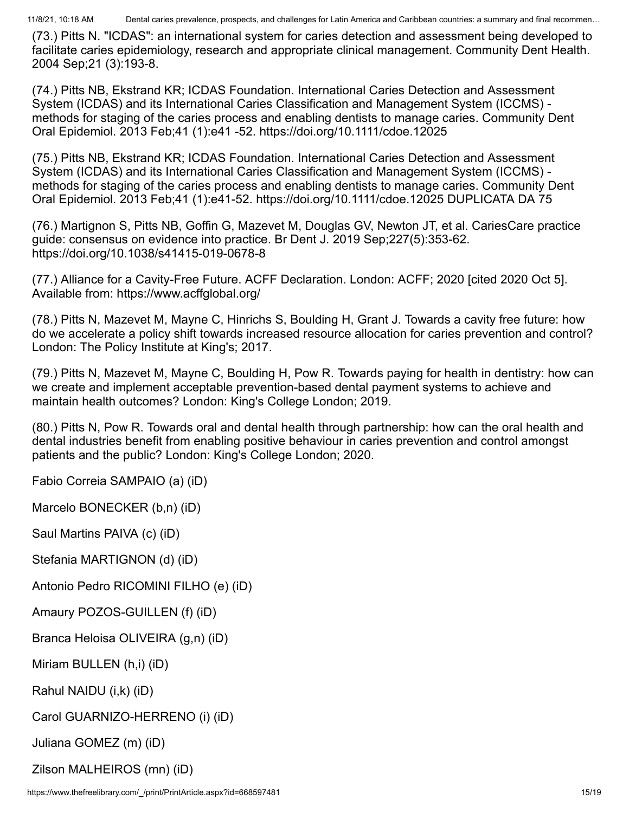(73.) Pitts N. "ICDAS": an international system for caries detection and assessment being developed to facilitate caries epidemiology, research and appropriate clinical management. Community Dent Health. 2004 Sep;21 (3):193-8.

(74.) Pitts NB, Ekstrand KR; ICDAS Foundation. International Caries Detection and Assessment System (ICDAS) and its International Caries Classification and Management System (ICCMS) methods for staging of the caries process and enabling dentists to manage caries. Community Dent Oral Epidemiol. 2013 Feb;41 (1):e41 -52. https://doi.org/10.1111/cdoe.12025

(75.) Pitts NB, Ekstrand KR; ICDAS Foundation. International Caries Detection and Assessment System (ICDAS) and its International Caries Classification and Management System (ICCMS) methods for staging of the caries process and enabling dentists to manage caries. Community Dent Oral Epidemiol. 2013 Feb;41 (1):e41-52. https://doi.org/10.1111/cdoe.12025 DUPLICATA DA 75

(76.) Martignon S, Pitts NB, Goffin G, Mazevet M, Douglas GV, Newton JT, et al. CariesCare practice guide: consensus on evidence into practice. Br Dent J. 2019 Sep;227(5):353-62. https://doi.org/10.1038/s41415-019-0678-8

(77.) Alliance for a Cavity-Free Future. ACFF Declaration. London: ACFF; 2020 [cited 2020 Oct 5]. Available from: https://www.acffglobal.org/

(78.) Pitts N, Mazevet M, Mayne C, Hinrichs S, Boulding H, Grant J. Towards a cavity free future: how do we accelerate a policy shift towards increased resource allocation for caries prevention and control? London: The Policy Institute at King's; 2017.

(79.) Pitts N, Mazevet M, Mayne C, Boulding H, Pow R. Towards paying for health in dentistry: how can we create and implement acceptable prevention-based dental payment systems to achieve and maintain health outcomes? London: King's College London; 2019.

(80.) Pitts N, Pow R. Towards oral and dental health through partnership: how can the oral health and dental industries benefit from enabling positive behaviour in caries prevention and control amongst patients and the public? London: King's College London; 2020.

Fabio Correia SAMPAIO (a) (iD)

Marcelo BONECKER (b,n) (iD)

Saul Martins PAIVA (c) (iD)

Stefania MARTIGNON (d) (iD)

Antonio Pedro RICOMINI FILHO (e) (iD)

Amaury POZOS-GUILLEN (f) (iD)

Branca Heloisa OLIVEIRA (g,n) (iD)

Miriam BULLEN (h,i) (iD)

Rahul NAIDU (i,k) (iD)

Carol GUARNIZO-HERRENO (i) (iD)

Juliana GOMEZ (m) (iD)

Zilson MALHEIROS (mn) (iD)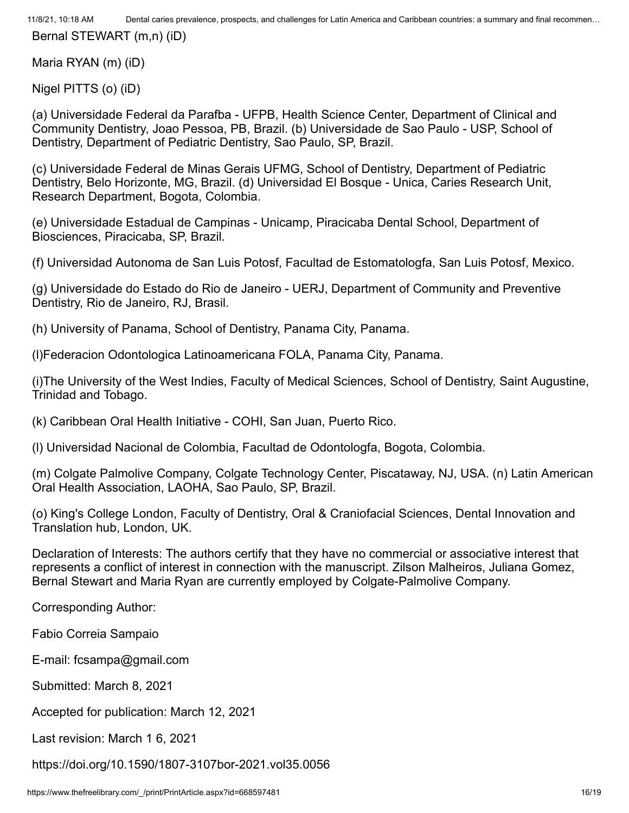Bernal STEWART (m,n) (iD)

Maria RYAN (m) (iD)

Nigel PITTS (o) (iD)

(a) Universidade Federal da Parafba - UFPB, Health Science Center, Department of Clinical and Community Dentistry, Joao Pessoa, PB, Brazil. (b) Universidade de Sao Paulo - USP, School of Dentistry, Department of Pediatric Dentistry, Sao Paulo, SP, Brazil.

(c) Universidade Federal de Minas Gerais UFMG, School of Dentistry, Department of Pediatric Dentistry, Belo Horizonte, MG, Brazil. (d) Universidad El Bosque - Unica, Caries Research Unit, Research Department, Bogota, Colombia.

(e) Universidade Estadual de Campinas - Unicamp, Piracicaba Dental School, Department of Biosciences, Piracicaba, SP, Brazil.

(f) Universidad Autonoma de San Luis Potosf, Facultad de Estomatologfa, San Luis Potosf, Mexico.

(g) Universidade do Estado do Rio de Janeiro - UERJ, Department of Community and Preventive Dentistry, Rio de Janeiro, RJ, Brasil.

(h) University of Panama, School of Dentistry, Panama City, Panama.

(l)Federacion Odontologica Latinoamericana FOLA, Panama City, Panama.

(i)The University of the West Indies, Faculty of Medical Sciences, School of Dentistry, Saint Augustine, Trinidad and Tobago.

(k) Caribbean Oral Health Initiative - COHI, San Juan, Puerto Rico.

(l) Universidad Nacional de Colombia, Facultad de Odontologfa, Bogota, Colombia.

(m) Colgate Palmolive Company, Colgate Technology Center, Piscataway, NJ, USA. (n) Latin American Oral Health Association, LAOHA, Sao Paulo, SP, Brazil.

(o) King's College London, Faculty of Dentistry, Oral & Craniofacial Sciences, Dental Innovation and Translation hub, London, UK.

Declaration of Interests: The authors certify that they have no commercial or associative interest that represents a conflict of interest in connection with the manuscript. Zilson Malheiros, Juliana Gomez, Bernal Stewart and Maria Ryan are currently employed by Colgate-Palmolive Company.

Corresponding Author:

Fabio Correia Sampaio

E-mail: fcsampa@gmail.com

Submitted: March 8, 2021

Accepted for publication: March 12, 2021

Last revision: March 1 6, 2021

https://doi.org/10.1590/1807-3107bor-2021.vol35.0056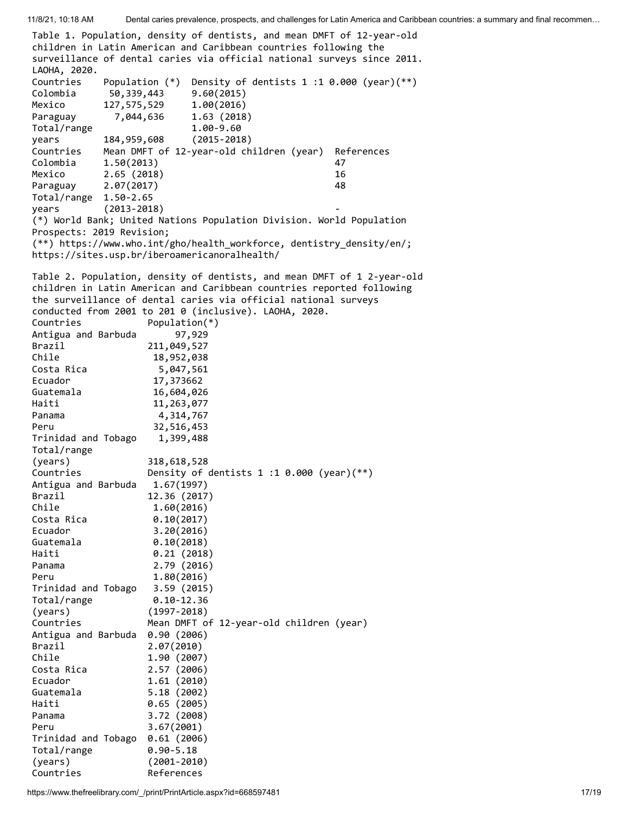Table 1. Population, density of dentists, and mean DMFT of 12-year-old children in Latin American and Caribbean countries following the surveillance of dental caries via official national surveys since 2011. LAOHA, 2020. Countries Population (\*) Density of dentists 1 :1 0.000 (year)(\*\*) Colombia 50,339,443 9.60(2015) Mexico 127,575,529 1.00(2016) Paraguay 7,044,636 1.63 (2018) Total/range 1.00-9.60 years 184,959,608 (2015-2018) Countries Mean DMFT of 12-year-old children (year) References Colombia 1.50(2013) 47 Mexico 2.65 (2018) 16 Paraguay 2.07(2017) 48 Total/range 1.50-2.65 years (2013-2018) (\*) World Bank; United Nations Population Division. World Population Prospects: 2019 Revision; (\*\*) https://www.who.int/gho/health\_workforce, dentistry\_density/en/; https://sites.usp.br/iberoamericanoralhealth/ Table 2. Population, density of dentists, and mean DMFT of 1 2-year-old children in Latin American and Caribbean countries reported following the surveillance of dental caries via official national surveys conducted from 2001 to 201 0 (inclusive). LAOHA, 2020. Countries Population(\*)<br>Antigua and Barbuda 97,929 Antigua and Barbuda Brazil 211,049,527 Chile 18,952,038 Costa Rica 5,047,561 Ecuador 17,373662 Guatemala 16,604,026 Haiti 11,263,077 Panama 4,314,767 Peru 32,516,453 Trinidad and Tobago 1,399,488 Total/range (years) 318,618,528 Countries Density of dentists 1 :1 0.000 (year)(\*\*) Antigua and Barbuda 1.67(1997) Brazil 12.36 (2017) Chile 1.60(2016) Costa Rica 0.10(2017) Ecuador 3.20(2016) Guatemala 0.10(2018) Haiti 0.21 (2018) Panama 2.79 (2016) Peru 1.80(2016) Trinidad and Tobago 3.59 (2015) Total/range 0.10-12.36 (years) (1997-2018) Countries Mean DMFT of 12-year-old children (year) Antigua and Barbuda 0.90 (2006) Brazil 2.07(2010) Chile 1.90 (2007) Costa Rica 2.57 (2006) Ecuador 1.61 (2010) Guatemala 5.18 (2002) Haiti 0.65 (2005) Panama 3.72 (2008) Peru 3.67(2001) Trinidad and Tobago 0.61 (2006) Total/range 0.90-5.18 (years) (2001-2010) Countries References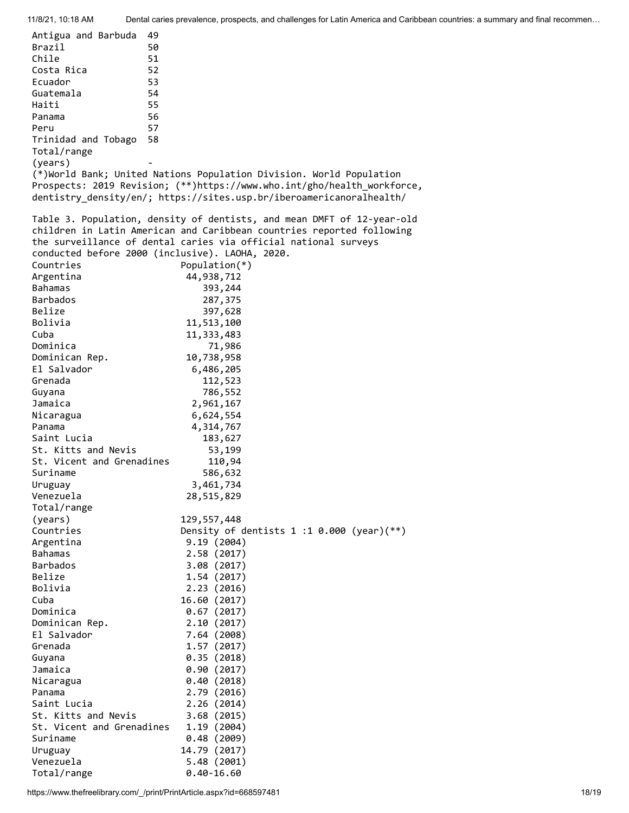| Antigua and Barbuda       | 49                                                                      |
|---------------------------|-------------------------------------------------------------------------|
| Brazil                    | 50                                                                      |
| Chile                     | 51                                                                      |
|                           |                                                                         |
| Costa Rica                | 52                                                                      |
| Ecuador                   | 53                                                                      |
| Guatemala                 | 54                                                                      |
| Haiti                     | 55                                                                      |
| Panama                    | 56                                                                      |
| Peru                      | 57                                                                      |
| Trinidad and Tobago       | 58                                                                      |
| Total/range               |                                                                         |
| (years)                   |                                                                         |
|                           | (*)World Bank; United Nations Population Division. World Population     |
|                           |                                                                         |
|                           | Prospects: 2019 Revision; (**)https://www.who.int/gho/health_workforce, |
|                           | dentistry_density/en/; https://sites.usp.br/iberoamericanoralhealth/    |
|                           |                                                                         |
|                           | Table 3. Population, density of dentists, and mean DMFT of 12-year-old  |
|                           | children in Latin American and Caribbean countries reported following   |
|                           | the surveillance of dental caries via official national surveys         |
|                           | conducted before 2000 (inclusive). LAOHA, 2020.                         |
| Countries                 | Population(*)                                                           |
| Argentina                 | 44,938,712                                                              |
| <b>Bahamas</b>            | 393,244                                                                 |
| <b>Barbados</b>           | 287,375                                                                 |
| Belize                    | 397,628                                                                 |
|                           |                                                                         |
| Bolivia                   | 11,513,100                                                              |
| Cuba                      | 11,333,483                                                              |
| Dominica                  | 71,986                                                                  |
| Dominican Rep.            | 10,738,958                                                              |
| El Salvador               | 6,486,205                                                               |
| Grenada                   | 112,523                                                                 |
| Guyana                    | 786,552                                                                 |
| Jamaica                   | 2,961,167                                                               |
| Nicaragua                 | 6,624,554                                                               |
| Panama                    | 4,314,767                                                               |
| Saint Lucia               | 183,627                                                                 |
| St. Kitts and Nevis       | 53,199                                                                  |
| St. Vicent and Grenadines | 110,94                                                                  |
|                           |                                                                         |
| Suriname                  | 586,632                                                                 |
| Uruguay                   | 3,461,734                                                               |
| Venezuela                 | 28,515,829                                                              |
| Total/range               |                                                                         |
| (years)                   | 129,557,448                                                             |
| Countries                 | Density of dentists $1:1$ 0.000 (year) $(**)$                           |
| Argentina                 | 9.19 (2004)                                                             |
| <b>Bahamas</b>            | 2.58 (2017)                                                             |
| Barbados                  | 3.08 (2017)                                                             |
| Belize                    | 1.54 (2017)                                                             |
| Bolivia                   | 2.23(2016)                                                              |
| Cuba                      | 16.60 (2017)                                                            |
| Dominica                  | 0.67(2017)                                                              |
| Dominican Rep.            | 2.10 (2017)                                                             |
| El Salvador               | 7.64 (2008)                                                             |
| Grenada                   | 1.57 (2017)                                                             |
|                           | 0.35(2018)                                                              |
| Guyana                    |                                                                         |
| Jamaica                   | 0.90(2017)                                                              |
| Nicaragua                 | 0.40(2018)                                                              |
| Panama                    | 2.79 (2016)                                                             |
| Saint Lucia               | 2.26 (2014)                                                             |
| St. Kitts and Nevis       | 3.68 (2015)                                                             |
| St. Vicent and Grenadines | 1.19 (2004)                                                             |
| Suriname                  | 0.48(2009)                                                              |
| Uruguay                   | 14.79 (2017)                                                            |
| Venezuela                 | 5.48 (2001)                                                             |
| Total/range               | $0.40 - 16.60$                                                          |

https://www.thefreelibrary.com/\_/print/PrintArticle.aspx?id=668597481 18/19